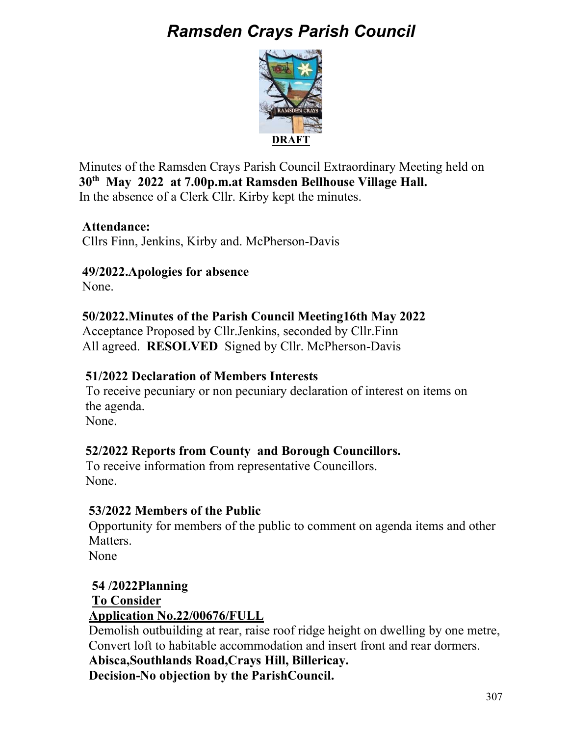# *Ramsden Crays Parish Council*



Minutes of the Ramsden Crays Parish Council Extraordinary Meeting held on **30th May 2022 at 7.00p.m.at Ramsden Bellhouse Village Hall.**  In the absence of a Clerk Cllr. Kirby kept the minutes.

## **Attendance:**

Cllrs Finn, Jenkins, Kirby and. McPherson-Davis

## **49/2022.Apologies for absence**

None.

## **50/2022.Minutes of the Parish Council Meeting16th May 2022**

Acceptance Proposed by Cllr.Jenkins, seconded by Cllr.Finn All agreed. **RESOLVED** Signed by Cllr. McPherson-Davis

#### **51/2022 Declaration of Members Interests**

To receive pecuniary or non pecuniary declaration of interest on items on the agenda.

None.

# **52/2022 Reports from County and Borough Councillors.**

 To receive information from representative Councillors. None.

#### **53/2022 Members of the Public**

Opportunity for members of the public to comment on agenda items and other Matters.

None

 **54 /2022Planning To Consider Application No.22/00676/FULL** 

 Demolish outbuilding at rear, raise roof ridge height on dwelling by one metre, Convert loft to habitable accommodation and insert front and rear dormers.

 **Abisca,Southlands Road,Crays Hill, Billericay. Decision-No objection by the ParishCouncil.**